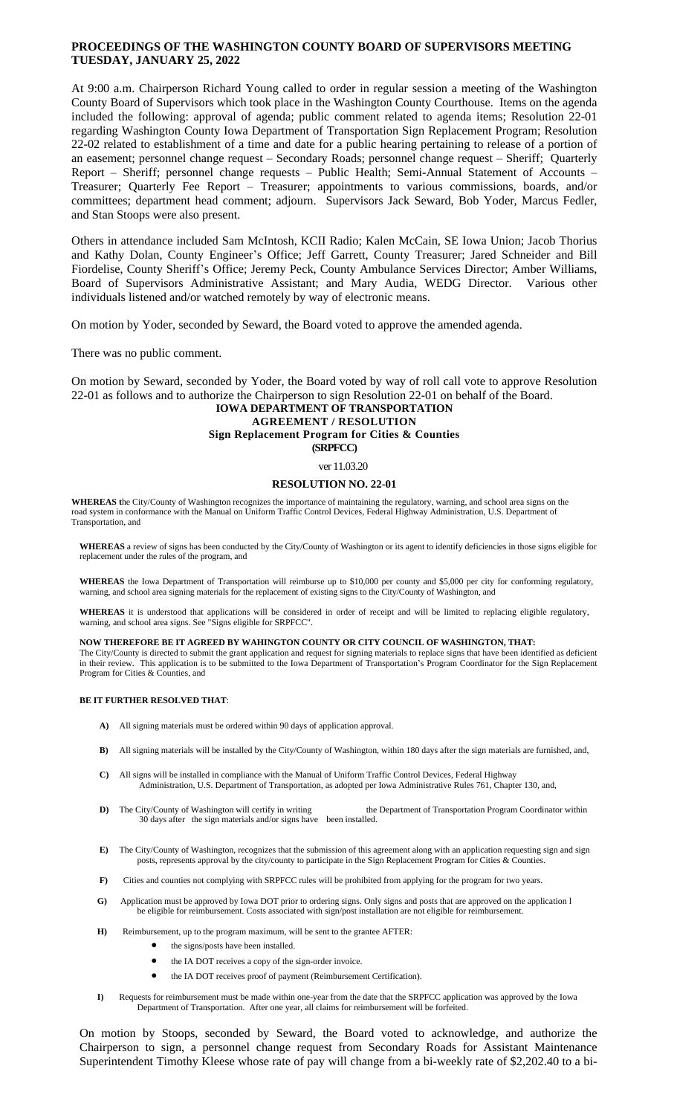## **PROCEEDINGS OF THE WASHINGTON COUNTY BOARD OF SUPERVISORS MEETING TUESDAY, JANUARY 25, 2022**

At 9:00 a.m. Chairperson Richard Young called to order in regular session a meeting of the Washington County Board of Supervisors which took place in the Washington County Courthouse. Items on the agenda included the following: approval of agenda; public comment related to agenda items; Resolution 22-01 regarding Washington County Iowa Department of Transportation Sign Replacement Program; Resolution 22-02 related to establishment of a time and date for a public hearing pertaining to release of a portion of an easement; personnel change request – Secondary Roads; personnel change request – Sheriff; Quarterly Report – Sheriff; personnel change requests – Public Health; Semi-Annual Statement of Accounts – Treasurer; Quarterly Fee Report – Treasurer; appointments to various commissions, boards, and/or committees; department head comment; adjourn. Supervisors Jack Seward, Bob Yoder, Marcus Fedler, and Stan Stoops were also present.

Others in attendance included Sam McIntosh, KCII Radio; Kalen McCain, SE Iowa Union; Jacob Thorius and Kathy Dolan, County Engineer's Office; Jeff Garrett, County Treasurer; Jared Schneider and Bill Fiordelise, County Sheriff's Office; Jeremy Peck, County Ambulance Services Director; Amber Williams, Board of Supervisors Administrative Assistant; and Mary Audia, WEDG Director. Various other individuals listened and/or watched remotely by way of electronic means.

On motion by Yoder, seconded by Seward, the Board voted to approve the amended agenda.

There was no public comment.

On motion by Seward, seconded by Yoder, the Board voted by way of roll call vote to approve Resolution 22-01 as follows and to authorize the Chairperson to sign Resolution 22-01 on behalf of the Board.

# **IOWA DEPARTMENT OF TRANSPORTATION AGREEMENT / RESOLUTION Sign Replacement Program for Cities & Counties (SRPFCC)**

### ver 11.03.20

#### **RESOLUTION NO. 22-01**

**WHEREAS t**he City/County of Washington recognizes the importance of maintaining the regulatory, warning, and school area signs on the road system in conformance with the Manual on Uniform Traffic Control Devices, Federal Highway Administration, U.S. Department of Transportation, and

**WHEREAS** a review of signs has been conducted by the City/County of Washington or its agent to identify deficiencies in those signs eligible for replacement under the rules of the program, and

**WHEREAS** the Iowa Department of Transportation will reimburse up to \$10,000 per county and \$5,000 per city for conforming regulatory, warning, and school area signing materials for the replacement of existing signs to the City/County of Washington, and

**WHEREAS** it is understood that applications will be considered in order of receipt and will be limited to replacing eligible regulatory, warning, and school area signs. See "Signs eligible for SRPFCC".

**NOW THEREFORE BE IT AGREED BY WAHINGTON COUNTY OR CITY COUNCIL OF WASHINGTON, THAT:**

The City/County is directed to submit the grant application and request for signing materials to replace signs that have been identified as deficient in their review. This application is to be submitted to the Iowa Department of Transportation's Program Coordinator for the Sign Replacement Program for Cities & Counties, and

### **BE IT FURTHER RESOLVED THAT**:

- **A)** All signing materials must be ordered within 90 days of application approval.
- **B)** All signing materials will be installed by the City/County of Washington, within 180 days after the sign materials are furnished, and,
- **C)** All signs will be installed in compliance with the Manual of Uniform Traffic Control Devices, Federal Highway Administration, U.S. Department of Transportation, as adopted per Iowa Administrative Rules 761, Chapter 130, and,
- **D)** The City/County of Washington will certify in writing the Department of Transportation Program Coordinator within 30 days after the sign materials and/or signs have been installed.
- **E)** The City/County of Washington, recognizes that the submission of this agreement along with an application requesting sign and sign posts, represents approval by the city/county to participate in the Sign Replacement Program for Cities & Counties.
- **F)** Cities and counties not complying with SRPFCC rules will be prohibited from applying for the program for two years.
- **G)** Application must be approved by Iowa DOT prior to ordering signs. Only signs and posts that are approved on the application l be eligible for reimbursement. Costs associated with sign/post installation are not eligible for reimbursement.
	- **H)** Reimbursement, up to the program maximum, will be sent to the grantee AFTER:
		- $\bullet$  the signs/posts have been installed.
		- the IA DOT receives a copy of the sign-order invoice.
		- the IA DOT receives proof of payment (Reimbursement Certification).
	- **I)** Requests for reimbursement must be made within one-year from the date that the SRPFCC application was approved by the Iowa Department of Transportation. After one year, all claims for reimbursement will be forfeited.

On motion by Stoops, seconded by Seward, the Board voted to acknowledge, and authorize the Chairperson to sign, a personnel change request from Secondary Roads for Assistant Maintenance Superintendent Timothy Kleese whose rate of pay will change from a bi-weekly rate of \$2,202.40 to a bi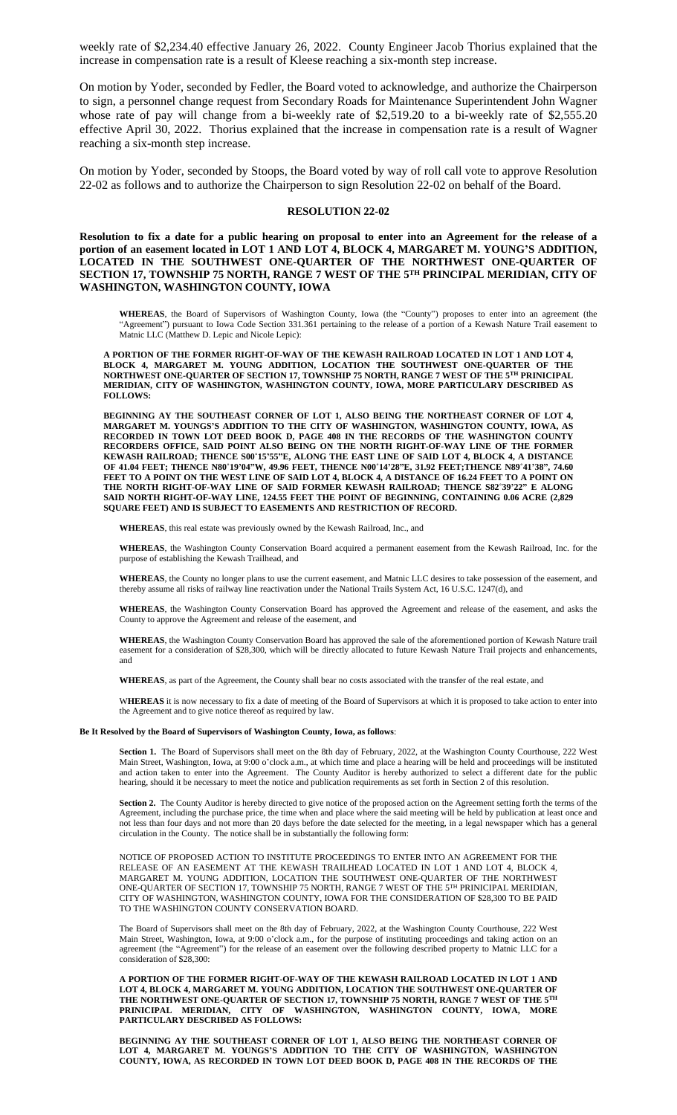weekly rate of \$2,234.40 effective January 26, 2022. County Engineer Jacob Thorius explained that the increase in compensation rate is a result of Kleese reaching a six-month step increase.

On motion by Yoder, seconded by Fedler, the Board voted to acknowledge, and authorize the Chairperson to sign, a personnel change request from Secondary Roads for Maintenance Superintendent John Wagner whose rate of pay will change from a bi-weekly rate of \$2,519.20 to a bi-weekly rate of \$2,555.20 effective April 30, 2022. Thorius explained that the increase in compensation rate is a result of Wagner reaching a six-month step increase.

On motion by Yoder, seconded by Stoops, the Board voted by way of roll call vote to approve Resolution 22-02 as follows and to authorize the Chairperson to sign Resolution 22-02 on behalf of the Board.

### **RESOLUTION 22-02**

Resolution to fix a date for a public hearing on proposal to enter into an Agreement for the release of a **portion of an easement located in LOT 1 AND LOT 4, BLOCK 4, MARGARET M. YOUNG'S ADDITION, LOCATED IN THE SOUTHWEST ONE-QUARTER OF THE NORTHWEST ONE-QUARTER OF SECTION 17, TOWNSHIP 75 NORTH, RANGE 7 WEST OF THE 5 TH PRINCIPAL MERIDIAN, CITY OF WASHINGTON, WASHINGTON COUNTY, IOWA**

**WHEREAS**, the Board of Supervisors of Washington County, Iowa (the "County") proposes to enter into an agreement (the 'Agreement") pursuant to Iowa Code Section 331.361 pertaining to the release of a portion of a Kewash Nature Trail easement to Matnic LLC (Matthew D. Lepic and Nicole Lepic):

**A PORTION OF THE FORMER RIGHT-OF-WAY OF THE KEWASH RAILROAD LOCATED IN LOT 1 AND LOT 4, BLOCK 4, MARGARET M. YOUNG ADDITION, LOCATION THE SOUTHWEST ONE-QUARTER OF THE NORTHWEST ONE-QUARTER OF SECTION 17, TOWNSHIP 75 NORTH, RANGE 7 WEST OF THE 5 TH PRINICIPAL MERIDIAN, CITY OF WASHINGTON, WASHINGTON COUNTY, IOWA, MORE PARTICULARY DESCRIBED AS FOLLOWS:** 

**BEGINNING AY THE SOUTHEAST CORNER OF LOT 1, ALSO BEING THE NORTHEAST CORNER OF LOT 4, MARGARET M. YOUNGS'S ADDITION TO THE CITY OF WASHINGTON, WASHINGTON COUNTY, IOWA, AS RECORDED IN TOWN LOT DEED BOOK D, PAGE 408 IN THE RECORDS OF THE WASHINGTON COUNTY RECORDERS OFFICE, SAID POINT ALSO BEING ON THE NORTH RIGHT-OF-WAY LINE OF THE FORMER** KEWASH RAILROAD; THENCE S00°15'55"E, ALONG THE EAST LINE OF SAID LOT 4, BLOCK 4, A DISTANCE OF 41.04 FEET; THENCE N80°19'04"W, 49.96 FEET, THENCE N00°14'28"E, 31.92 FEET;THENCE N89°41'38", 74.60 FEET TO A POINT ON THE WEST LINE OF SAID LOT 4, BLOCK 4, A DISTANCE OF 16.24 FEET TO A POINT ON **THE NORTH RIGHT-OF-WAY LINE OF SAID FORMER KEWASH RAILROAD; THENCE S82˚39'22" E ALONG SAID NORTH RIGHT-OF-WAY LINE, 124.55 FEET THE POINT OF BEGINNING, CONTAINING 0.06 ACRE (2,829 SQUARE FEET) AND IS SUBJECT TO EASEMENTS AND RESTRICTION OF RECORD.**

**WHEREAS**, this real estate was previously owned by the Kewash Railroad, Inc., and

**WHEREAS**, the Washington County Conservation Board acquired a permanent easement from the Kewash Railroad, Inc. for the purpose of establishing the Kewash Trailhead, and

**WHEREAS**, the County no longer plans to use the current easement, and Matnic LLC desires to take possession of the easement, and thereby assume all risks of railway line reactivation under the National Trails System Act, 16 U.S.C. 1247(d), and

**WHEREAS**, the Washington County Conservation Board has approved the Agreement and release of the easement, and asks the County to approve the Agreement and release of the easement, and

**WHEREAS**, the Washington County Conservation Board has approved the sale of the aforementioned portion of Kewash Nature trail easement for a consideration of \$28,300, which will be directly allocated to future Kewash Nature Trail projects and enhancements, and

**WHEREAS**, as part of the Agreement, the County shall bear no costs associated with the transfer of the real estate, and

W**HEREAS** it is now necessary to fix a date of meeting of the Board of Supervisors at which it is proposed to take action to enter into the Agreement and to give notice thereof as required by law.

#### **Be It Resolved by the Board of Supervisors of Washington County, Iowa, as follows**:

**Section 1.** The Board of Supervisors shall meet on the 8th day of February, 2022, at the Washington County Courthouse, 222 West Main Street, Washington, Iowa, at 9:00 o'clock a.m., at which time and place a hearing will be held and proceedings will be instituted and action taken to enter into the Agreement. The County Auditor is hereby authorized to select a different date for the public hearing, should it be necessary to meet the notice and publication requirements as set forth in Section 2 of this resolution.

**Section 2.** The County Auditor is hereby directed to give notice of the proposed action on the Agreement setting forth the terms of the Agreement, including the purchase price, the time when and place where the said meeting will be held by publication at least once and not less than four days and not more than 20 days before the date selected for the meeting, in a legal newspaper which has a general circulation in the County. The notice shall be in substantially the following form:

NOTICE OF PROPOSED ACTION TO INSTITUTE PROCEEDINGS TO ENTER INTO AN AGREEMENT FOR THE RELEASE OF AN EASEMENT AT THE KEWASH TRAILHEAD LOCATED IN LOT 1 AND LOT 4, BLOCK 4, MARGARET M. YOUNG ADDITION, LOCATION THE SOUTHWEST ONE-QUARTER OF THE NORTHWEST ONE-QUARTER OF SECTION 17, TOWNSHIP 75 NORTH, RANGE 7 WEST OF THE 5 TH PRINICIPAL MERIDIAN, CITY OF WASHINGTON, WASHINGTON COUNTY, IOWA FOR THE CONSIDERATION OF \$28,300 TO BE PAID TO THE WASHINGTON COUNTY CONSERVATION BOARD.

The Board of Supervisors shall meet on the 8th day of February, 2022, at the Washington County Courthouse, 222 West Main Street, Washington, Iowa, at 9:00 o'clock a.m., for the purpose of instituting proceedings and taking action on an agreement (the "Agreement") for the release of an easement over the following described property to Matnic LLC for a consideration of \$28,300:

**A PORTION OF THE FORMER RIGHT-OF-WAY OF THE KEWASH RAILROAD LOCATED IN LOT 1 AND LOT 4, BLOCK 4, MARGARET M. YOUNG ADDITION, LOCATION THE SOUTHWEST ONE-QUARTER OF THE NORTHWEST ONE-QUARTER OF SECTION 17, TOWNSHIP 75 NORTH, RANGE 7 WEST OF THE 5 TH PRINICIPAL MERIDIAN, CITY OF WASHINGTON, WASHINGTON COUNTY, IOWA, MORE PARTICULARY DESCRIBED AS FOLLOWS:** 

**BEGINNING AY THE SOUTHEAST CORNER OF LOT 1, ALSO BEING THE NORTHEAST CORNER OF LOT 4, MARGARET M. YOUNGS'S ADDITION TO THE CITY OF WASHINGTON, WASHINGTON COUNTY, IOWA, AS RECORDED IN TOWN LOT DEED BOOK D, PAGE 408 IN THE RECORDS OF THE**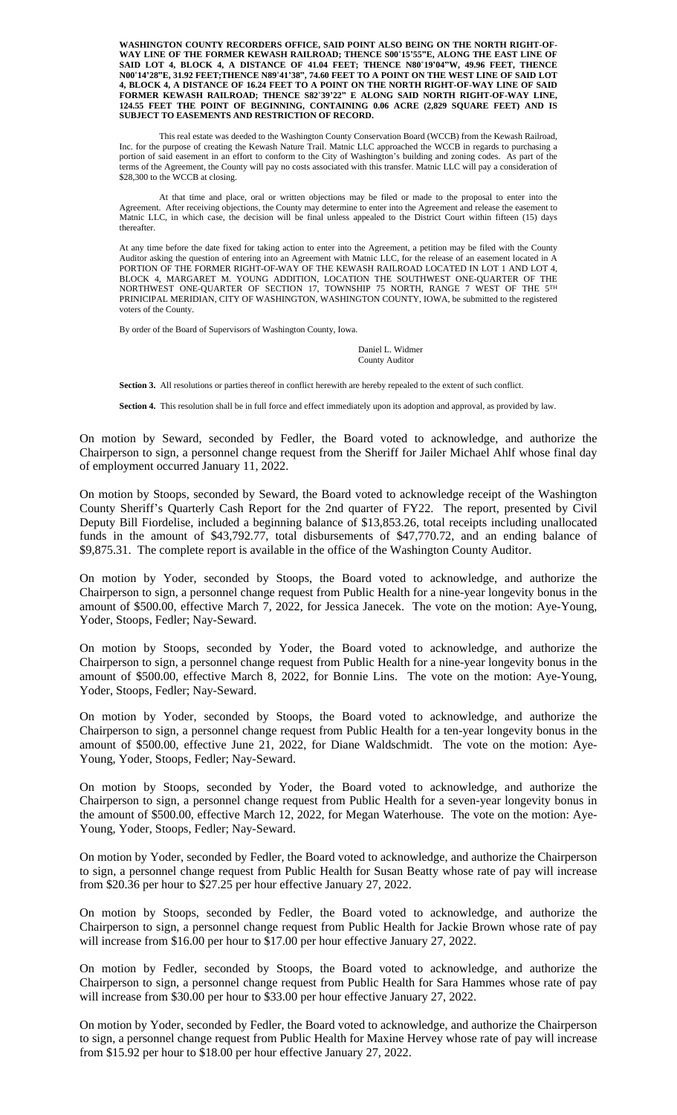**WASHINGTON COUNTY RECORDERS OFFICE, SAID POINT ALSO BEING ON THE NORTH RIGHT-OF-WAY LINE OF THE FORMER KEWASH RAILROAD; THENCE S00˚15'55"E, ALONG THE EAST LINE OF** SAID LOT 4, BLOCK 4, A DISTANCE OF 41.04 FEET; THENCE N80°19'04"W, 49.96 FEET, THENCE N00°14'28"E, 31.92 FEET;THENCE N89°41'38", 74.60 FEET TO A POINT ON THE WEST LINE OF SAID LOT **4, BLOCK 4, A DISTANCE OF 16.24 FEET TO A POINT ON THE NORTH RIGHT-OF-WAY LINE OF SAID FORMER KEWASH RAILROAD; THENCE S82˚39'22" E ALONG SAID NORTH RIGHT-OF-WAY LINE, 124.55 FEET THE POINT OF BEGINNING, CONTAINING 0.06 ACRE (2,829 SQUARE FEET) AND IS SUBJECT TO EASEMENTS AND RESTRICTION OF RECORD.**

This real estate was deeded to the Washington County Conservation Board (WCCB) from the Kewash Railroad, Inc. for the purpose of creating the Kewash Nature Trail. Matnic LLC approached the WCCB in regards to purchasing a portion of said easement in an effort to conform to the City of Washington's building and zoning codes. As part of the terms of the Agreement, the County will pay no costs associated with this transfer. Matnic LLC will pay a consideration of \$28,300 to the WCCB at closing.

At that time and place, oral or written objections may be filed or made to the proposal to enter into the Agreement. After receiving objections, the County may determine to enter into the Agreement and release the easement to Matnic LLC, in which case, the decision will be final unless appealed to the District Court within fifteen (15) days thereafter.

At any time before the date fixed for taking action to enter into the Agreement, a petition may be filed with the County Auditor asking the question of entering into an Agreement with Matnic LLC, for the release of an easement located in A PORTION OF THE FORMER RIGHT-OF-WAY OF THE KEWASH RAILROAD LOCATED IN LOT 1 AND LOT 4, BLOCK 4, MARGARET M. YOUNG ADDITION, LOCATION THE SOUTHWEST ONE-QUARTER OF THE NORTHWEST ONE-QUARTER OF SECTION 17, TOWNSHIP 75 NORTH, RANGE 7 WEST OF THE  $5^{\text{TH}}$ PRINICIPAL MERIDIAN, CITY OF WASHINGTON, WASHINGTON COUNTY, IOWA, be submitted to the registered voters of the County.

By order of the Board of Supervisors of Washington County, Iowa.

Daniel L. Widmer County Auditor

**Section 3.** All resolutions or parties thereof in conflict herewith are hereby repealed to the extent of such conflict.

**Section 4.** This resolution shall be in full force and effect immediately upon its adoption and approval, as provided by law.

On motion by Seward, seconded by Fedler, the Board voted to acknowledge, and authorize the Chairperson to sign, a personnel change request from the Sheriff for Jailer Michael Ahlf whose final day of employment occurred January 11, 2022.

On motion by Stoops, seconded by Seward, the Board voted to acknowledge receipt of the Washington County Sheriff's Quarterly Cash Report for the 2nd quarter of FY22. The report, presented by Civil Deputy Bill Fiordelise, included a beginning balance of \$13,853.26, total receipts including unallocated funds in the amount of \$43,792.77, total disbursements of \$47,770.72, and an ending balance of \$9,875.31. The complete report is available in the office of the Washington County Auditor.

On motion by Yoder, seconded by Stoops, the Board voted to acknowledge, and authorize the Chairperson to sign, a personnel change request from Public Health for a nine-year longevity bonus in the amount of \$500.00, effective March 7, 2022, for Jessica Janecek. The vote on the motion: Aye-Young, Yoder, Stoops, Fedler; Nay-Seward.

On motion by Stoops, seconded by Yoder, the Board voted to acknowledge, and authorize the Chairperson to sign, a personnel change request from Public Health for a nine-year longevity bonus in the amount of \$500.00, effective March 8, 2022, for Bonnie Lins. The vote on the motion: Aye-Young, Yoder, Stoops, Fedler; Nay-Seward.

On motion by Yoder, seconded by Stoops, the Board voted to acknowledge, and authorize the Chairperson to sign, a personnel change request from Public Health for a ten-year longevity bonus in the amount of \$500.00, effective June 21, 2022, for Diane Waldschmidt. The vote on the motion: Aye-Young, Yoder, Stoops, Fedler; Nay-Seward.

On motion by Stoops, seconded by Yoder, the Board voted to acknowledge, and authorize the Chairperson to sign, a personnel change request from Public Health for a seven-year longevity bonus in the amount of \$500.00, effective March 12, 2022, for Megan Waterhouse. The vote on the motion: Aye-Young, Yoder, Stoops, Fedler; Nay-Seward.

On motion by Yoder, seconded by Fedler, the Board voted to acknowledge, and authorize the Chairperson to sign, a personnel change request from Public Health for Susan Beatty whose rate of pay will increase from \$20.36 per hour to \$27.25 per hour effective January 27, 2022.

On motion by Stoops, seconded by Fedler, the Board voted to acknowledge, and authorize the Chairperson to sign, a personnel change request from Public Health for Jackie Brown whose rate of pay will increase from \$16.00 per hour to \$17.00 per hour effective January 27, 2022.

On motion by Fedler, seconded by Stoops, the Board voted to acknowledge, and authorize the Chairperson to sign, a personnel change request from Public Health for Sara Hammes whose rate of pay will increase from \$30.00 per hour to \$33.00 per hour effective January 27, 2022.

On motion by Yoder, seconded by Fedler, the Board voted to acknowledge, and authorize the Chairperson to sign, a personnel change request from Public Health for Maxine Hervey whose rate of pay will increase from \$15.92 per hour to \$18.00 per hour effective January 27, 2022.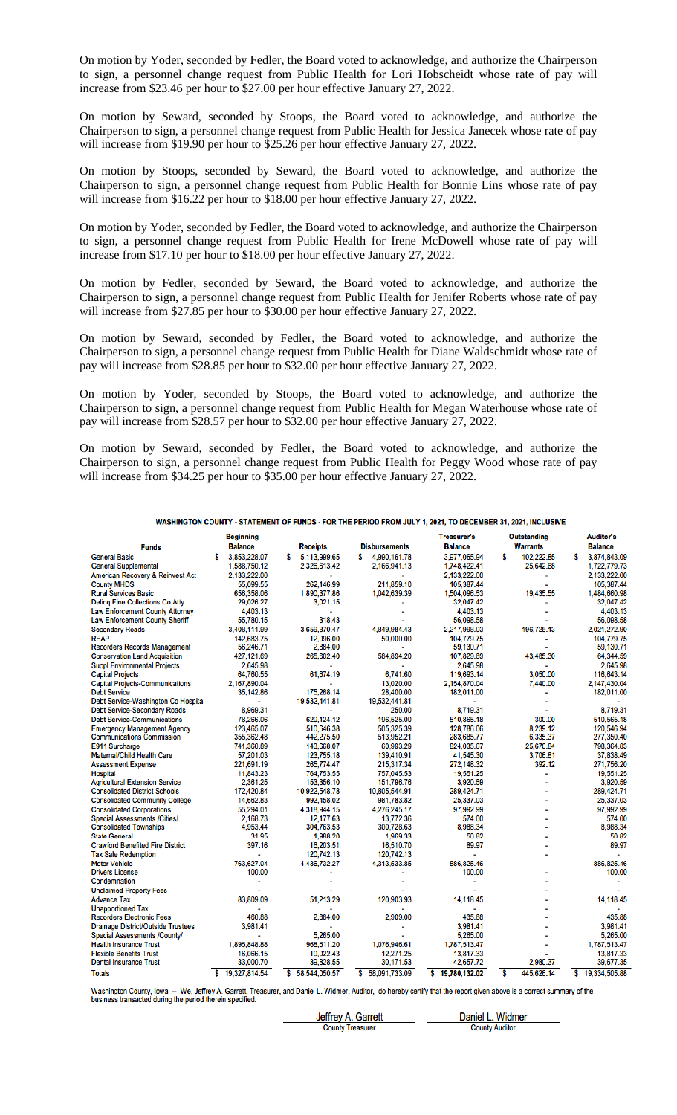On motion by Yoder, seconded by Fedler, the Board voted to acknowledge, and authorize the Chairperson to sign, a personnel change request from Public Health for Lori Hobscheidt whose rate of pay will increase from \$23.46 per hour to \$27.00 per hour effective January 27, 2022.

On motion by Seward, seconded by Stoops, the Board voted to acknowledge, and authorize the Chairperson to sign, a personnel change request from Public Health for Jessica Janecek whose rate of pay will increase from \$19.90 per hour to \$25.26 per hour effective January 27, 2022.

On motion by Stoops, seconded by Seward, the Board voted to acknowledge, and authorize the Chairperson to sign, a personnel change request from Public Health for Bonnie Lins whose rate of pay will increase from \$16.22 per hour to \$18.00 per hour effective January 27, 2022.

On motion by Yoder, seconded by Fedler, the Board voted to acknowledge, and authorize the Chairperson to sign, a personnel change request from Public Health for Irene McDowell whose rate of pay will increase from \$17.10 per hour to \$18.00 per hour effective January 27, 2022.

On motion by Fedler, seconded by Seward, the Board voted to acknowledge, and authorize the Chairperson to sign, a personnel change request from Public Health for Jenifer Roberts whose rate of pay will increase from \$27.85 per hour to \$30.00 per hour effective January 27, 2022.

On motion by Seward, seconded by Fedler, the Board voted to acknowledge, and authorize the Chairperson to sign, a personnel change request from Public Health for Diane Waldschmidt whose rate of pay will increase from \$28.85 per hour to \$32.00 per hour effective January 27, 2022.

On motion by Yoder, seconded by Stoops, the Board voted to acknowledge, and authorize the Chairperson to sign, a personnel change request from Public Health for Megan Waterhouse whose rate of pay will increase from \$28.57 per hour to \$32.00 per hour effective January 27, 2022.

On motion by Seward, seconded by Fedler, the Board voted to acknowledge, and authorize the Chairperson to sign, a personnel change request from Public Health for Peggy Wood whose rate of pay will increase from \$34.25 per hour to \$35.00 per hour effective January 27, 2022.

|                                           | <b>Beginning</b>   |                    |                      | <b>Treasurer's</b> | <b>Outstanding</b> | <b>Auditor's</b>    |
|-------------------------------------------|--------------------|--------------------|----------------------|--------------------|--------------------|---------------------|
| <b>Funds</b>                              | <b>Balance</b>     | <b>Receipts</b>    | <b>Disbursements</b> | <b>Balance</b>     | <b>Warrants</b>    | <b>Balance</b>      |
| <b>General Basic</b>                      | 3,853,228.07<br>S  | 5,113,999.65<br>S  | 4,990,161.78<br>\$   | 3,977,065.94       | \$<br>102.222.85   | 3,874,843.09<br>s   |
| <b>General Supplemental</b>               | 1,588,750.12       | 2.326.613.42       | 2,166,941.13         | 1,748,422.41       | 25,642.68          | 1.722.779.73        |
| American Recovery & Reinvest Act          | 2,133,222.00       |                    |                      | 2,133,222.00       |                    | 2,133,222.00        |
| <b>County MHDS</b>                        | 55.099.55          | 262.146.99         | 211.859.10           | 105,387.44         |                    | 105.387.44          |
| <b>Rural Services Basic</b>               | 656,358.06         | 1,890,377.86       | 1,042,639.39         | 1,504,096.53       | 19,435.55          | 1,484,660.98        |
| <b>Deling Fine Collections Co Atty</b>    | 29,026.27          | 3,021.15           |                      | 32,047.42          |                    | 32,047.42           |
| <b>Law Enforcement County Attorney</b>    | 4.403.13           | ×,                 |                      | 4.403.13           |                    | 4.403.13            |
| <b>Law Enforcement County Sheriff</b>     | 55,780.15          | 318.43             |                      | 56,098.58          |                    | 56,098.58           |
| <b>Secondary Roads</b>                    | 3,408,111.99       | 3,659,870.47       | 4,849,984.43         | 2,217,998.03       | 196.725.13         | 2,021,272.90        |
| <b>REAP</b>                               | 142,683.75         | 12,096.00          | 50,000.00            | 104.779.75         |                    | 104.779.75          |
| <b>Recorders Records Management</b>       | 56,246.71          | 2,884.00           |                      | 59,130.71          |                    | 59,130.71           |
| <b>Conservation Land Acquisition</b>      | 427,121.69         | 265,602.40         | 584,894.20           | 107,829.89         | 43.485.30          | 64,344.59           |
| <b>Suppl Environmental Projects</b>       | 2,645.98           |                    |                      | 2,645.98           |                    | 2,645.98            |
| <b>Capital Projects</b>                   | 64,760.55          | 61.674.19          | 6.741.60             | 119,693.14         | 3.050.00           | 116,643.14          |
| <b>Capital Projects-Communications</b>    | 2,167,890.04       |                    | 13,020.00            | 2,154,870.04       | 7,440.00           | 2,147,430.04        |
| <b>Debt Service</b>                       | 35,142.86          | 175.268.14         | 28,400.00            | 182,011.00         |                    | 182,011.00          |
| Debt Service-Washington Co Hospital       | ä,                 | 19,532,441.81      | 19,532,441.81        |                    |                    |                     |
| <b>Debt Service-Secondary Roads</b>       | 8,969.31           |                    | 250.00               | 8.719.31           |                    | 8.719.31            |
| <b>Debt Service-Communications</b>        | 78,266.06          | 629.124.12         | 196,525.00           | 510,865.18         | 300.00             | 510,565.18          |
| <b>Emergency Management Agency</b>        | 123,465.07         | 510,646.38         | 505,325.39           | 128,786.06         | 8.239.12           | 120,546.94          |
| <b>Communications Commission</b>          | 355,362.48         | 442,275.50         | 513,952.21           | 283,685.77         | 6,335.37           | 277,350.40          |
| E911 Surcharge                            | 741,360.89         | 143,668.07         | 60,993.29            | 824,035.67         | 25,670.84          | 798,364.83          |
| Maternal/Child Health Care                | 57,201.03          | 123,755.18         | 139,410.91           | 41,545.30          | 3,706.81           | 37,838.49           |
| <b>Assessment Expense</b>                 | 221,691.19         | 265,774.47         | 215,317.34           | 272,148.32         | 392.12             | 271,756.20          |
| Hospital                                  | 11,843.23          | 764.753.55         | 757,045.53           | 19.551.25          |                    | 19.551.25           |
| <b>Agricultural Extension Service</b>     | 2,361.25           | 153,356.10         | 151,796.76           | 3,920.59           |                    | 3,920.59            |
| <b>Consolidated District Schools</b>      | 172,420.84         | 10,922,548.78      | 10,805,544.91        | 289,424.71         |                    | 289,424.71          |
| <b>Consolidated Community College</b>     | 14,662.83          | 992,458.02         | 981,783.82           | 25,337.03          |                    | 25.337.03           |
| <b>Consolidated Corporations</b>          | 55,294.01          | 4,318,944.15       | 4,276,245.17         | 97,992.99          |                    | 97.992.99           |
| <b>Special Assessments /Cities/</b>       | 2,168.73           | 12,177.63          | 13,772.36            | 574.00             |                    | 574.00              |
| <b>Consolidated Townships</b>             | 4,953.44           | 304,763.53         | 300,728.63           | 8,988.34           |                    | 8,988.34            |
| <b>State General</b>                      | 31.95              | 1,988.20           | 1,969.33             | 50.82              |                    | 50.82               |
| <b>Crawford Benefited Fire District</b>   | 397.16             | 16,203.51          | 16,510.70            | 89.97              |                    | 89.97               |
| <b>Tax Sale Redemption</b>                | ä,                 | 120.742.13         | 120.742.13           |                    |                    |                     |
| <b>Motor Vehicle</b>                      | 763,627.04         | 4,436,732.27       | 4,313,533.85         | 886,825.46         |                    | 886.825.46          |
| <b>Drivers License</b>                    | 100.00             |                    |                      | 100.00             |                    | 100.00              |
| Condemnation                              |                    |                    |                      |                    |                    |                     |
| <b>Unclaimed Property Fees</b>            |                    |                    |                      |                    |                    |                     |
| <b>Advance Tax</b>                        | 83,809.09          | 51,213.29          | 120,903.93           | 14,118.45          |                    | 14,118.45           |
| <b>Unapportioned Tax</b>                  |                    |                    |                      |                    |                    |                     |
| <b>Recorders Electronic Fees</b>          | 460.88             | 2,884.00           | 2,909.00             | 435.88             |                    | 435.88              |
| <b>Drainage District/Outside Trustees</b> | 3.981.41           |                    |                      | 3,981.41           |                    | 3,981.41            |
| Special Assessments /County/              |                    | 5,265.00           |                      | 5,265.00           |                    | 5,265.00            |
| <b>Health Insurance Trust</b>             | 1,895,848.88       | 968,611.20         | 1,076,946.61         | 1,787,513.47       |                    | 1,787,513.47        |
| <b>Flexible Benefits Trust</b>            | 16,066.15          | 10,022.43          | 12,271.25            | 13,817.33          |                    | 13,817.33           |
| <b>Dental Insurance Trust</b>             | 33,000.70          | 39,828.55          | 30,171.53            | 42,657.72          | 2.980.37           | 39.677.35           |
| <b>Totals</b>                             | 19.327.814.54<br>s | 58.544.050.57<br>s | S.<br>58.091.733.09  | \$19.780.132.02    | \$<br>445.626.14   | \$<br>19.334.505.88 |

#### WASHINGTON COUNTY - STATEMENT OF FUNDS - FOR THE PERIOD FROM JULY 1, 2021. TO DECEMBER 31, 2021, INCLUSIVE

Washington County, Iowa -- We, Jeffrey A. Garrett, Treasurer, and Daniel L. Widmer, Auditor, do hereby certify that the report given above is a correct summary of the business transacted during the period therein specified

Daniel L. Widmer Jeffrey A. Garrett **County Auditor County Treasurer**